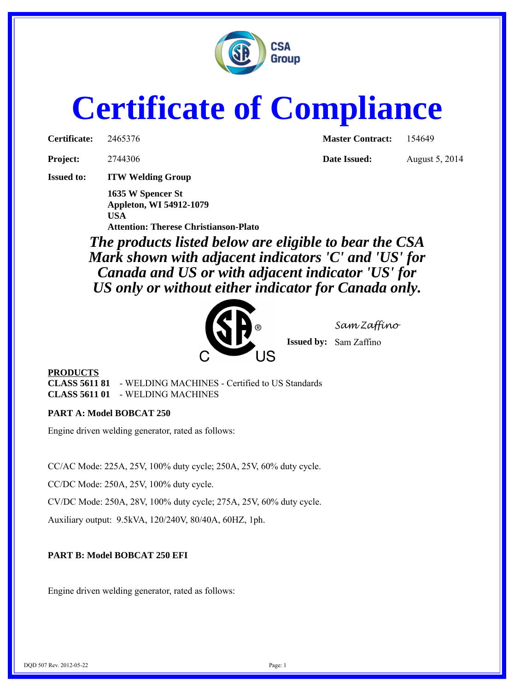

# **Certificate of Compliance**

**Project:** 2744306 **Date Issued:** August 5, 2014

**Issued to: ITW Welding Group**

**1635 W Spencer St Appleton, WI 54912-1079 USA Attention: Therese Christianson-Plato**

**Certificate:** 2465376 **Master Contract:** 154649

*The products listed below are eligible to bear the CSA Mark shown with adjacent indicators 'C' and 'US' for Canada and US or with adjacent indicator 'US' for US only or without either indicator for Canada only.*



*Sam Zaffino*

**Issued by:** Sam Zaffino

## **PRODUCTS**

**CLASS 5611 81** - WELDING MACHINES - Certified to US Standards **CLASS 5611 01** - WELDING MACHINES

## **PART A: Model BOBCAT 250**

Engine driven welding generator, rated as follows:

CC/AC Mode: 225A, 25V, 100% duty cycle; 250A, 25V, 60% duty cycle.

CC/DC Mode: 250A, 25V, 100% duty cycle.

CV/DC Mode: 250A, 28V, 100% duty cycle; 275A, 25V, 60% duty cycle.

Auxiliary output: 9.5kVA, 120/240V, 80/40A, 60HZ, 1ph.

# **PART B: Model BOBCAT 250 EFI**

Engine driven welding generator, rated as follows: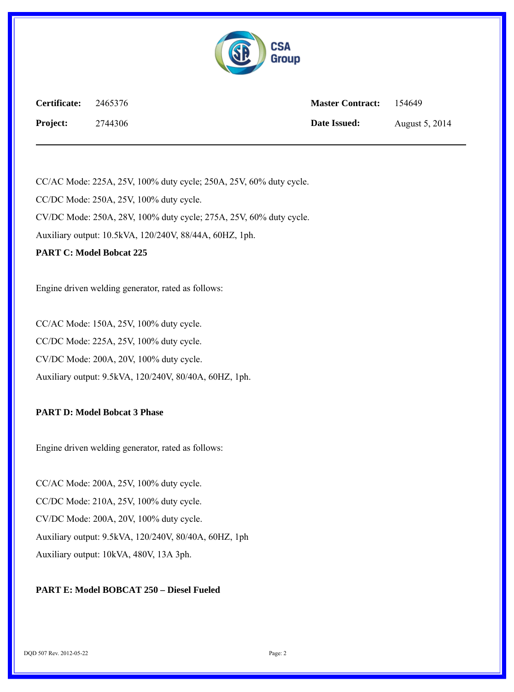

| Certificate:    | 2465376 | <b>Master Contract:</b> | 154649         |
|-----------------|---------|-------------------------|----------------|
| <b>Project:</b> | 2744306 | Date Issued:            | August 5, 2014 |

CC/AC Mode: 225A, 25V, 100% duty cycle; 250A, 25V, 60% duty cycle. CC/DC Mode: 250A, 25V, 100% duty cycle. CV/DC Mode: 250A, 28V, 100% duty cycle; 275A, 25V, 60% duty cycle. Auxiliary output: 10.5kVA, 120/240V, 88/44A, 60HZ, 1ph. **PART C: Model Bobcat 225**

Engine driven welding generator, rated as follows:

CC/AC Mode: 150A, 25V, 100% duty cycle. CC/DC Mode: 225A, 25V, 100% duty cycle. CV/DC Mode: 200A, 20V, 100% duty cycle. Auxiliary output: 9.5kVA, 120/240V, 80/40A, 60HZ, 1ph.

#### **PART D: Model Bobcat 3 Phase**

Engine driven welding generator, rated as follows:

CC/AC Mode: 200A, 25V, 100% duty cycle. CC/DC Mode: 210A, 25V, 100% duty cycle. CV/DC Mode: 200A, 20V, 100% duty cycle. Auxiliary output: 9.5kVA, 120/240V, 80/40A, 60HZ, 1ph Auxiliary output: 10kVA, 480V, 13A 3ph.

#### **PART E: Model BOBCAT 250 – Diesel Fueled**